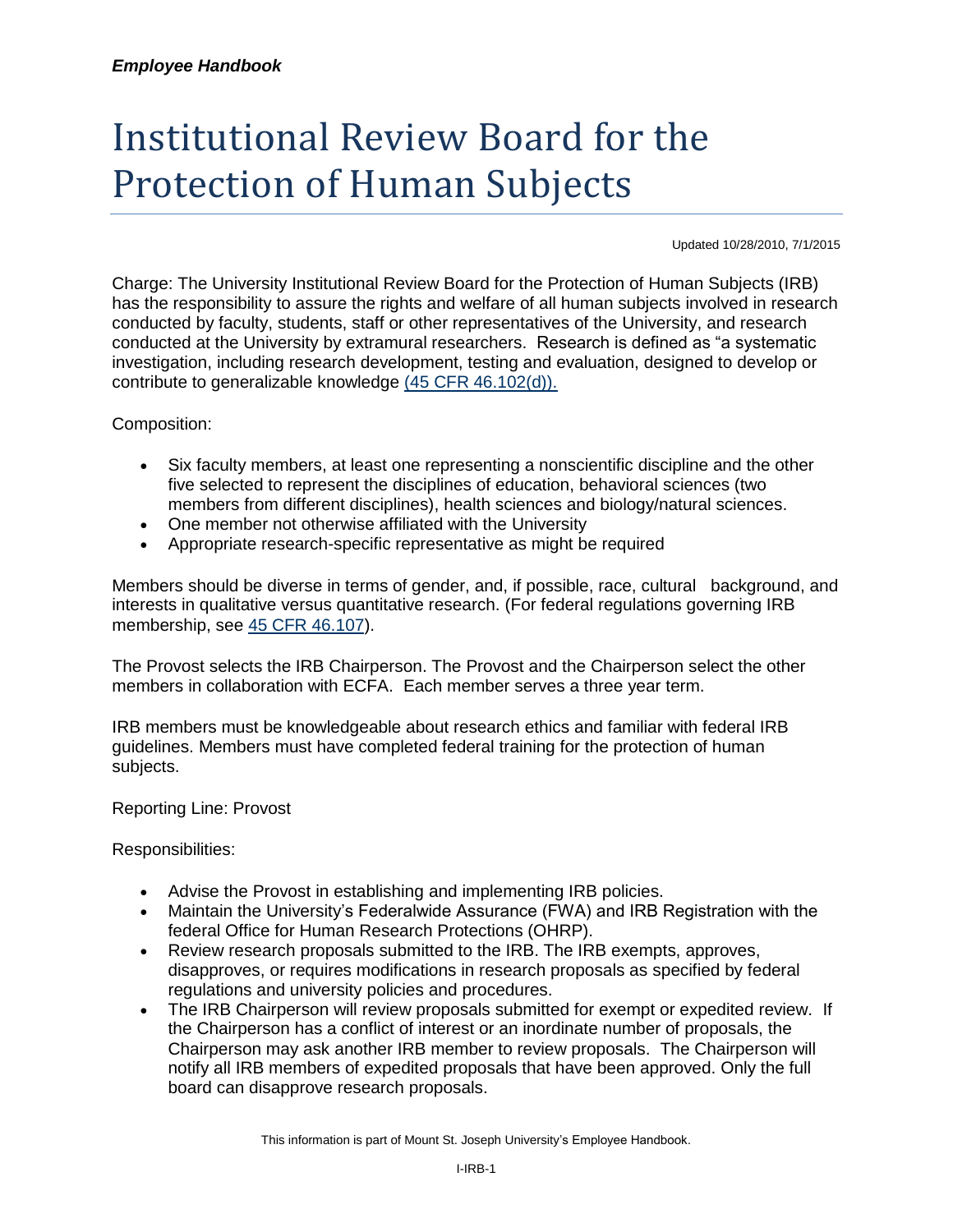## Institutional Review Board for the Protection of Human Subjects

Updated 10/28/2010, 7/1/2015

Charge: The University Institutional Review Board for the Protection of Human Subjects (IRB) has the responsibility to assure the rights and welfare of all human subjects involved in research conducted by faculty, students, staff or other representatives of the University, and research conducted at the University by extramural researchers. Research is defined as "a systematic investigation, including research development, testing and evaluation, designed to develop or contribute to generalizable knowledge [\(45 CFR 46.102\(d\)\).](http://www.hhs.gov/ohrp/humansubjects/guidance/45cfr46.htm#46.102)

Composition:

- Six faculty members, at least one representing a nonscientific discipline and the other five selected to represent the disciplines of education, behavioral sciences (two members from different disciplines), health sciences and biology/natural sciences.
- One member not otherwise affiliated with the University
- Appropriate research-specific representative as might be required

Members should be diverse in terms of gender, and, if possible, race, cultural background, and interests in qualitative versus quantitative research. (For federal regulations governing IRB membership, see [45 CFR 46.107\)](http://www.hhs.gov/ohrp/humansubjects/guidance/45cfr46.htm#46.107).

The Provost selects the IRB Chairperson. The Provost and the Chairperson select the other members in collaboration with ECFA. Each member serves a three year term.

IRB members must be knowledgeable about research ethics and familiar with federal IRB guidelines. Members must have completed federal training for the protection of human subjects.

Reporting Line: Provost

Responsibilities:

- Advise the Provost in establishing and implementing IRB policies.
- Maintain the University's Federalwide Assurance (FWA) and IRB Registration with the federal Office for Human Research Protections (OHRP).
- Review research proposals submitted to the IRB. The IRB exempts, approves, disapproves, or requires modifications in research proposals as specified by federal regulations and university policies and procedures.
- The IRB Chairperson will review proposals submitted for exempt or expedited review. If the Chairperson has a conflict of interest or an inordinate number of proposals, the Chairperson may ask another IRB member to review proposals. The Chairperson will notify all IRB members of expedited proposals that have been approved. Only the full board can disapprove research proposals.